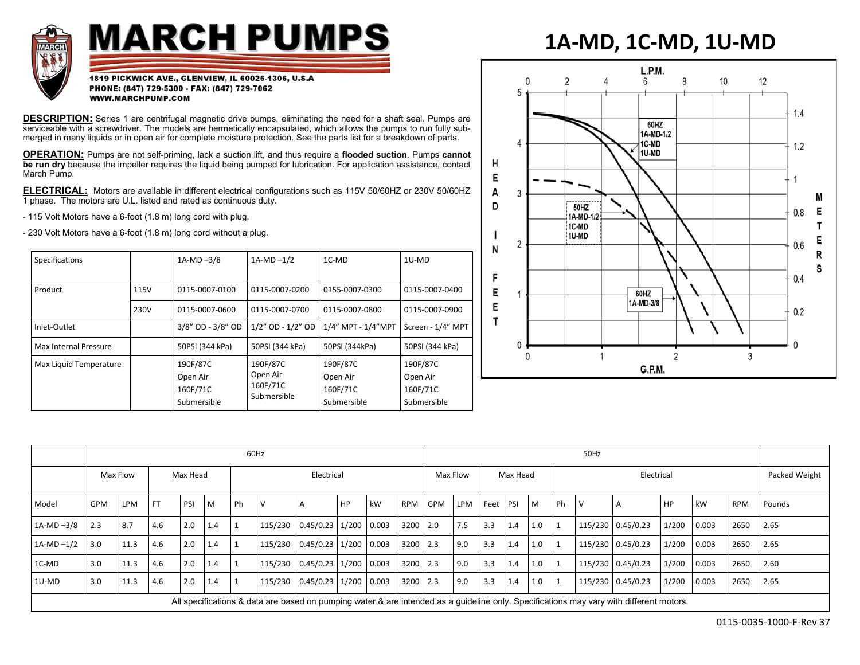

## **MARCH PUMPS**

## **1A-MD, 1C-MD, 1U-MD**

1819 PICKWICK AVE., GLENVIEW, IL 60026-1306, U.S.A PHONE: (847) 729-5300 - FAX: (847) 729-7062 WWW.MARCHPUMP.COM

**DESCRIPTION:** Series 1 are centrifugal magnetic drive pumps, eliminating the need for a shaft seal. Pumps are serviceable with a screwdriver. The models are hermetically encapsulated, which allows the pumps to run fully submerged in many liquids or in open air for complete moisture protection. See the parts list for a breakdown of parts.

**OPERATION:** Pumps are not self-priming, lack a suction lift, and thus require a **flooded suction**. Pumps **cannot be run dry** because the impeller requires the liquid being pumped for lubrication. For application assistance, contact March Pump.

**ELECTRICAL:** Motors are available in different electrical configurations such as 115V 50/60HZ or 230V 50/60HZ 1 phase. The motors are U.L. listed and rated as continuous duty.

- 115 Volt Motors have a 6-foot (1.8 m) long cord with plug.

- 230 Volt Motors have a 6-foot (1.8 m) long cord without a plug.

| Specifications         |                                                 | $1A-MD-3/8$       | $1A-MD-1/2$                                     | 1C-MD                                           | 1U-MD                                           |
|------------------------|-------------------------------------------------|-------------------|-------------------------------------------------|-------------------------------------------------|-------------------------------------------------|
| Product                | 115V                                            | 0115-0007-0100    | 0115-0007-0200                                  | 0155-0007-0300                                  | 0115-0007-0400                                  |
|                        | 230V                                            | 0115-0007-0600    | 0115-0007-0700                                  | 0115-0007-0800                                  | 0115-0007-0900                                  |
| Inlet-Outlet           |                                                 | 3/8" OD - 3/8" OD | 1/2" OD - 1/2" OD                               | 1/4" MPT - 1/4"MPT                              | Screen - 1/4" MPT                               |
| Max Internal Pressure  |                                                 | 50PSI (344 kPa)   | 50PSI (344 kPa)                                 | 50PSI (344kPa)                                  | 50PSI (344 kPa)                                 |
| Max Liquid Temperature | 190F/87C<br>Open Air<br>160F/71C<br>Submersible |                   | 190F/87C<br>Open Air<br>160F/71C<br>Submersible | 190F/87C<br>Open Air<br>160F/71C<br>Submersible | 190F/87C<br>Open Air<br>160F/71C<br>Submersible |



|                                                                                                                                         | 60Hz       |      |           |     |     |            |         |                             |    |    | 50Hz       |            |            |          |            |     |              |   |                   |       |               |            |        |
|-----------------------------------------------------------------------------------------------------------------------------------------|------------|------|-----------|-----|-----|------------|---------|-----------------------------|----|----|------------|------------|------------|----------|------------|-----|--------------|---|-------------------|-------|---------------|------------|--------|
|                                                                                                                                         | Max Flow   |      | Max Head  |     |     | Electrical |         |                             |    |    | Max Flow   |            | Max Head   |          | Electrical |     |              |   |                   |       | Packed Weight |            |        |
| Model                                                                                                                                   | <b>GPM</b> | LPM  | <b>FT</b> | PSI | M   | Ph         | l V     |                             | HP | kW | <b>RPM</b> | <b>GPM</b> | <b>LPM</b> | Feet PSI |            | l M | <b>Ph</b>    | V | $\mathsf{A}$      | l HP  | kW            | <b>RPM</b> | Pounds |
| $1A-MD - 3/8$                                                                                                                           | 2.3        | 8.7  | 4.6       | 2.0 | 1.4 |            | 115/230 | $0.45/0.23$   1/200   0.003 |    |    | 3200 2.0   |            | 7.5        | 3.3      | 1.4        | 1.0 |              |   | 115/230 0.45/0.23 | 1/200 | 0.003         | 2650       | 2.65   |
| $1A-MD - 1/2$                                                                                                                           | 3.0        | 11.3 | 4.6       | 2.0 | 1.4 |            | 115/230 | $0.45/0.23$ 1/200 0.003     |    |    | 3200 2.3   |            | 9.0        | 3.3      | 1.4        | 1.0 | ່ 1          |   | 115/230 0.45/0.23 | 1/200 | 0.003         | 2650       | 2.65   |
| 1C-MD                                                                                                                                   | 3.0        | 11.3 | 4.6       | 2.0 | 1.4 |            | 115/230 | $0.45/0.23$   1/200   0.003 |    |    | 3200 2.3   |            | 9.0        | 3.3      | 1.4        | 1.0 | $\mathbf{1}$ |   | 115/230 0.45/0.23 | 1/200 | 0.003         | 2650       | 2.60   |
| 1U-MD                                                                                                                                   | 3.0        | 11.3 | 4.6       | 2.0 | 1.4 |            | 115/230 | $0.45/0.23$ 1/200 0.003     |    |    | 3200 2.3   |            | 9.0        | 3.3      | 1.4        | 1.0 | $\mathbf{1}$ |   | 115/230 0.45/0.23 | 1/200 | 0.003         | 2650       | 2.65   |
| All specifications & data are based on pumping water & are intended as a guideline only. Specifications may vary with different motors. |            |      |           |     |     |            |         |                             |    |    |            |            |            |          |            |     |              |   |                   |       |               |            |        |